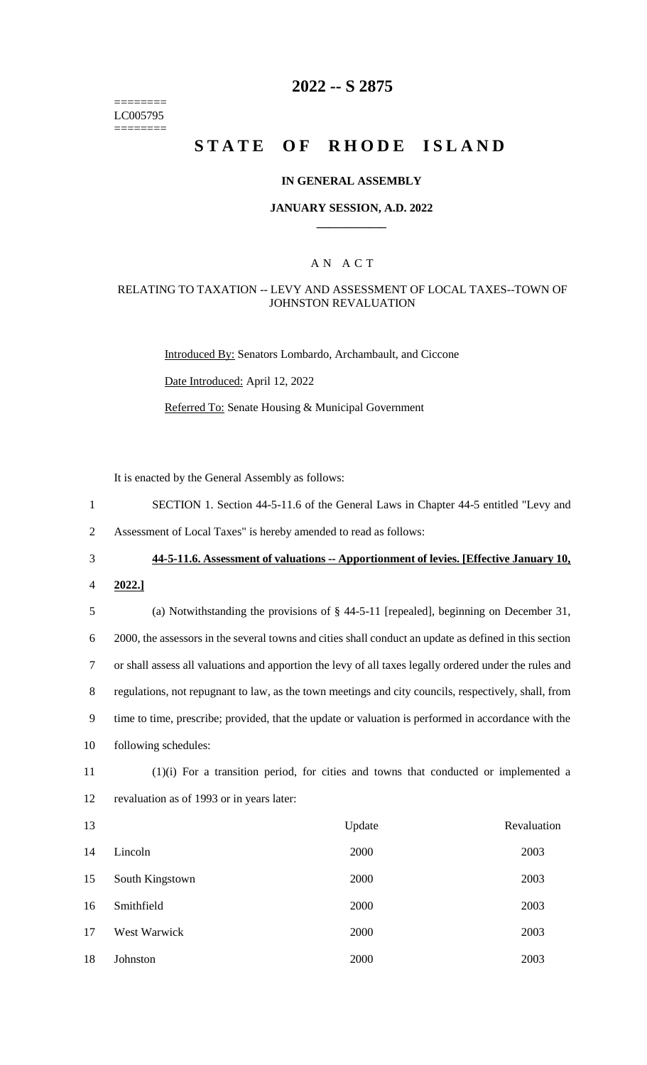======== LC005795 ========

## **2022 -- S 2875**

## **STATE OF RHODE ISLAND**

## **IN GENERAL ASSEMBLY**

## **JANUARY SESSION, A.D. 2022 \_\_\_\_\_\_\_\_\_\_\_\_**

## A N A C T

## RELATING TO TAXATION -- LEVY AND ASSESSMENT OF LOCAL TAXES--TOWN OF JOHNSTON REVALUATION

Introduced By: Senators Lombardo, Archambault, and Ciccone

Date Introduced: April 12, 2022

Referred To: Senate Housing & Municipal Government

It is enacted by the General Assembly as follows:

1 SECTION 1. Section 44-5-11.6 of the General Laws in Chapter 44-5 entitled "Levy and

2 Assessment of Local Taxes" is hereby amended to read as follows:

- 3 **44-5-11.6. Assessment of valuations -- Apportionment of levies. [Effective January 10,**
- 4 **2022.]**

# 5 (a) Notwithstanding the provisions of § 44-5-11 [repealed], beginning on December 31, 6 2000, the assessors in the several towns and cities shall conduct an update as defined in this section 7 or shall assess all valuations and apportion the levy of all taxes legally ordered under the rules and 8 regulations, not repugnant to law, as the town meetings and city councils, respectively, shall, from 9 time to time, prescribe; provided, that the update or valuation is performed in accordance with the 10 following schedules:

11 (1)(i) For a transition period, for cities and towns that conducted or implemented a 12 revaluation as of 1993 or in years later:

| 13 |                 | Update | Revaluation |
|----|-----------------|--------|-------------|
| 14 | Lincoln         | 2000   | 2003        |
| 15 | South Kingstown | 2000   | 2003        |
| 16 | Smithfield      | 2000   | 2003        |
| 17 | West Warwick    | 2000   | 2003        |
| 18 | Johnston        | 2000   | 2003        |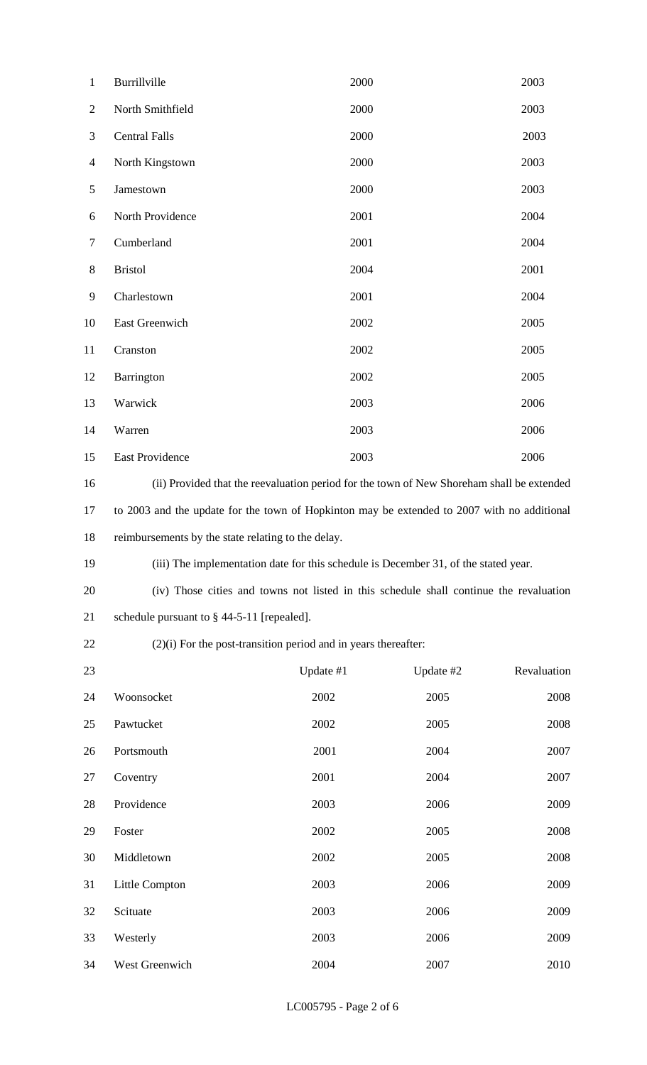| $\mathbf{1}$   | Burrillville                                                                                | 2000      |           | 2003        |  |
|----------------|---------------------------------------------------------------------------------------------|-----------|-----------|-------------|--|
| $\overline{2}$ | North Smithfield                                                                            | 2000      |           | 2003        |  |
| 3              | <b>Central Falls</b>                                                                        | 2000      |           | 2003        |  |
| $\overline{4}$ | North Kingstown                                                                             | 2000      |           | 2003        |  |
| 5              | Jamestown                                                                                   | 2000      |           | 2003        |  |
| 6              | North Providence                                                                            | 2001      |           | 2004        |  |
| $\overline{7}$ | Cumberland                                                                                  | 2001      |           | 2004        |  |
| 8              | <b>Bristol</b>                                                                              | 2004      |           | 2001        |  |
| 9              | Charlestown                                                                                 | 2001      |           | 2004        |  |
| 10             | East Greenwich                                                                              | 2002      |           | 2005        |  |
| 11             | Cranston                                                                                    | 2002      |           | 2005        |  |
| 12             | Barrington                                                                                  | 2002      |           | 2005        |  |
| 13             | Warwick                                                                                     | 2003      |           | 2006        |  |
| 14             | Warren                                                                                      | 2003      |           | 2006        |  |
| 15             | East Providence                                                                             | 2003      |           | 2006        |  |
| 16             | (ii) Provided that the reevaluation period for the town of New Shoreham shall be extended   |           |           |             |  |
| 17             | to 2003 and the update for the town of Hopkinton may be extended to 2007 with no additional |           |           |             |  |
| 18             | reimbursements by the state relating to the delay.                                          |           |           |             |  |
| 19             | (iii) The implementation date for this schedule is December 31, of the stated year.         |           |           |             |  |
| 20             | (iv) Those cities and towns not listed in this schedule shall continue the revaluation      |           |           |             |  |
| 21             | schedule pursuant to $\S$ 44-5-11 [repealed].                                               |           |           |             |  |
| 22             | $(2)(i)$ For the post-transition period and in years thereafter:                            |           |           |             |  |
| 23             |                                                                                             | Update #1 | Update #2 | Revaluation |  |
| 24             | Woonsocket                                                                                  | 2002      | 2005      | 2008        |  |
| 25             | Pawtucket                                                                                   | 2002      | 2005      | 2008        |  |
| 26             | Portsmouth                                                                                  | 2001      | 2004      | 2007        |  |
| 27             | Coventry                                                                                    | 2001      | 2004      | 2007        |  |
| 28             | Providence                                                                                  | 2003      | 2006      | 2009        |  |
| 29             | Foster                                                                                      | 2002      | 2005      | 2008        |  |
| 30             | Middletown                                                                                  | 2002      | 2005      | 2008        |  |
| 31             | Little Compton                                                                              | 2003      | 2006      | 2009        |  |
| 32             | Scituate                                                                                    | 2003      | 2006      | 2009        |  |
| 33             | Westerly                                                                                    | 2003      | 2006      | 2009        |  |
| 34             | West Greenwich                                                                              | 2004      | 2007      | 2010        |  |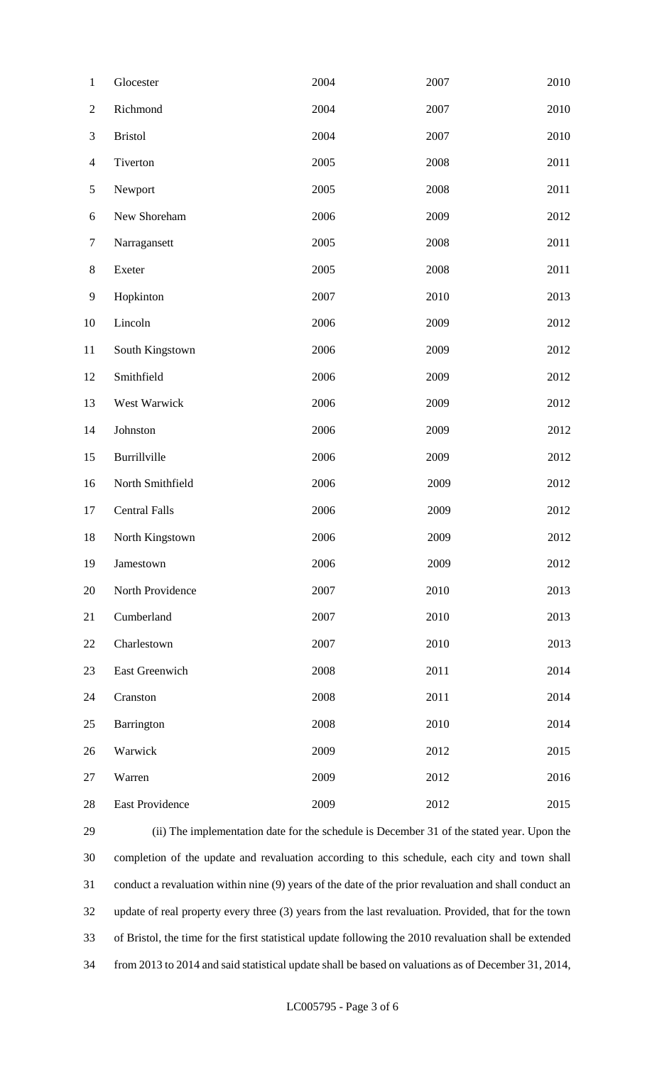| $\mathbf{1}$   | Glocester            | 2004 | 2007 | 2010 |
|----------------|----------------------|------|------|------|
| $\mathbf{2}$   | Richmond             | 2004 | 2007 | 2010 |
| $\mathfrak{Z}$ | <b>Bristol</b>       | 2004 | 2007 | 2010 |
| $\overline{4}$ | Tiverton             | 2005 | 2008 | 2011 |
| $\mathfrak{S}$ | Newport              | 2005 | 2008 | 2011 |
| 6              | New Shoreham         | 2006 | 2009 | 2012 |
| $\tau$         | Narragansett         | 2005 | 2008 | 2011 |
| $8\,$          | Exeter               | 2005 | 2008 | 2011 |
| $\mathbf{9}$   | Hopkinton            | 2007 | 2010 | 2013 |
| 10             | Lincoln              | 2006 | 2009 | 2012 |
| 11             | South Kingstown      | 2006 | 2009 | 2012 |
| 12             | Smithfield           | 2006 | 2009 | 2012 |
| 13             | West Warwick         | 2006 | 2009 | 2012 |
| 14             | Johnston             | 2006 | 2009 | 2012 |
| 15             | Burrillville         | 2006 | 2009 | 2012 |
| 16             | North Smithfield     | 2006 | 2009 | 2012 |
| 17             | <b>Central Falls</b> | 2006 | 2009 | 2012 |
| 18             | North Kingstown      | 2006 | 2009 | 2012 |
| 19             | Jamestown            | 2006 | 2009 | 2012 |
| 20             | North Providence     | 2007 | 2010 | 2013 |
| 21             | Cumberland           | 2007 | 2010 | 2013 |
| 22             | Charlestown          | 2007 | 2010 | 2013 |
| 23             | East Greenwich       | 2008 | 2011 | 2014 |
| 24             | Cranston             | 2008 | 2011 | 2014 |
| 25             | Barrington           | 2008 | 2010 | 2014 |
| 26             | Warwick              | 2009 | 2012 | 2015 |
| 27             | Warren               | 2009 | 2012 | 2016 |
| 28             | East Providence      | 2009 | 2012 | 2015 |

 (ii) The implementation date for the schedule is December 31 of the stated year. Upon the completion of the update and revaluation according to this schedule, each city and town shall conduct a revaluation within nine (9) years of the date of the prior revaluation and shall conduct an update of real property every three (3) years from the last revaluation. Provided, that for the town of Bristol, the time for the first statistical update following the 2010 revaluation shall be extended from 2013 to 2014 and said statistical update shall be based on valuations as of December 31, 2014,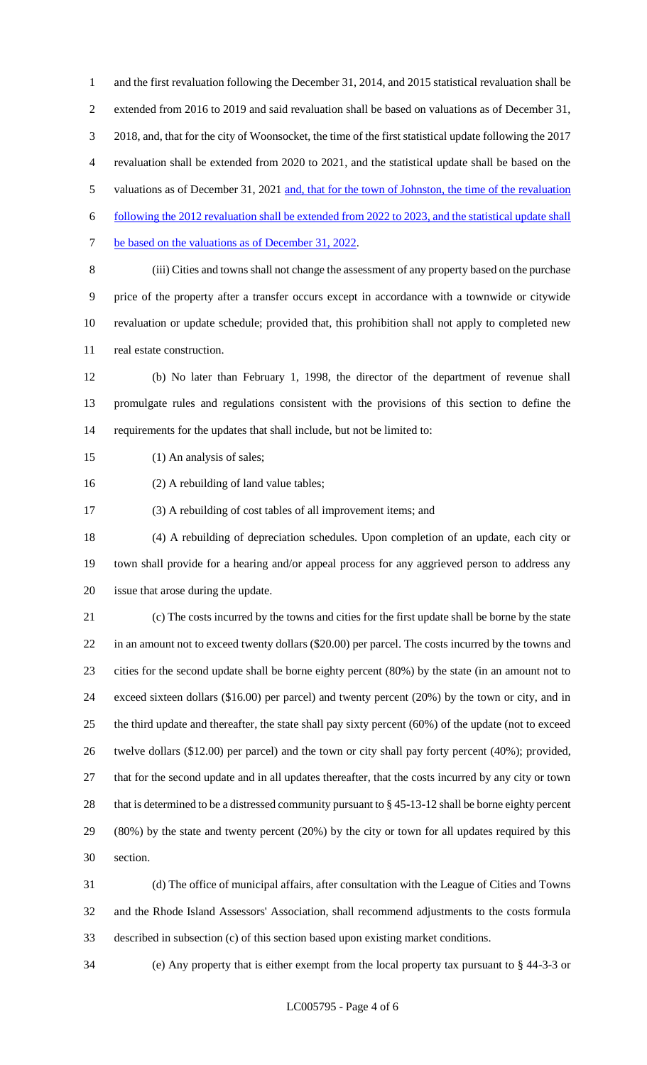and the first revaluation following the December 31, 2014, and 2015 statistical revaluation shall be extended from 2016 to 2019 and said revaluation shall be based on valuations as of December 31, 2018, and, that for the city of Woonsocket, the time of the first statistical update following the 2017 revaluation shall be extended from 2020 to 2021, and the statistical update shall be based on the 5 valuations as of December 31, 2021 and, that for the town of Johnston, the time of the revaluation following the 2012 revaluation shall be extended from 2022 to 2023, and the statistical update shall 7 be based on the valuations as of December 31, 2022. (iii) Cities and towns shall not change the assessment of any property based on the purchase price of the property after a transfer occurs except in accordance with a townwide or citywide

 revaluation or update schedule; provided that, this prohibition shall not apply to completed new real estate construction.

 (b) No later than February 1, 1998, the director of the department of revenue shall promulgate rules and regulations consistent with the provisions of this section to define the requirements for the updates that shall include, but not be limited to:

15 (1) An analysis of sales;

(2) A rebuilding of land value tables;

(3) A rebuilding of cost tables of all improvement items; and

 (4) A rebuilding of depreciation schedules. Upon completion of an update, each city or town shall provide for a hearing and/or appeal process for any aggrieved person to address any issue that arose during the update.

 (c) The costs incurred by the towns and cities for the first update shall be borne by the state in an amount not to exceed twenty dollars (\$20.00) per parcel. The costs incurred by the towns and cities for the second update shall be borne eighty percent (80%) by the state (in an amount not to exceed sixteen dollars (\$16.00) per parcel) and twenty percent (20%) by the town or city, and in the third update and thereafter, the state shall pay sixty percent (60%) of the update (not to exceed twelve dollars (\$12.00) per parcel) and the town or city shall pay forty percent (40%); provided, that for the second update and in all updates thereafter, that the costs incurred by any city or town that is determined to be a distressed community pursuant to § 45-13-12 shall be borne eighty percent (80%) by the state and twenty percent (20%) by the city or town for all updates required by this section.

 (d) The office of municipal affairs, after consultation with the League of Cities and Towns and the Rhode Island Assessors' Association, shall recommend adjustments to the costs formula described in subsection (c) of this section based upon existing market conditions.

(e) Any property that is either exempt from the local property tax pursuant to § 44-3-3 or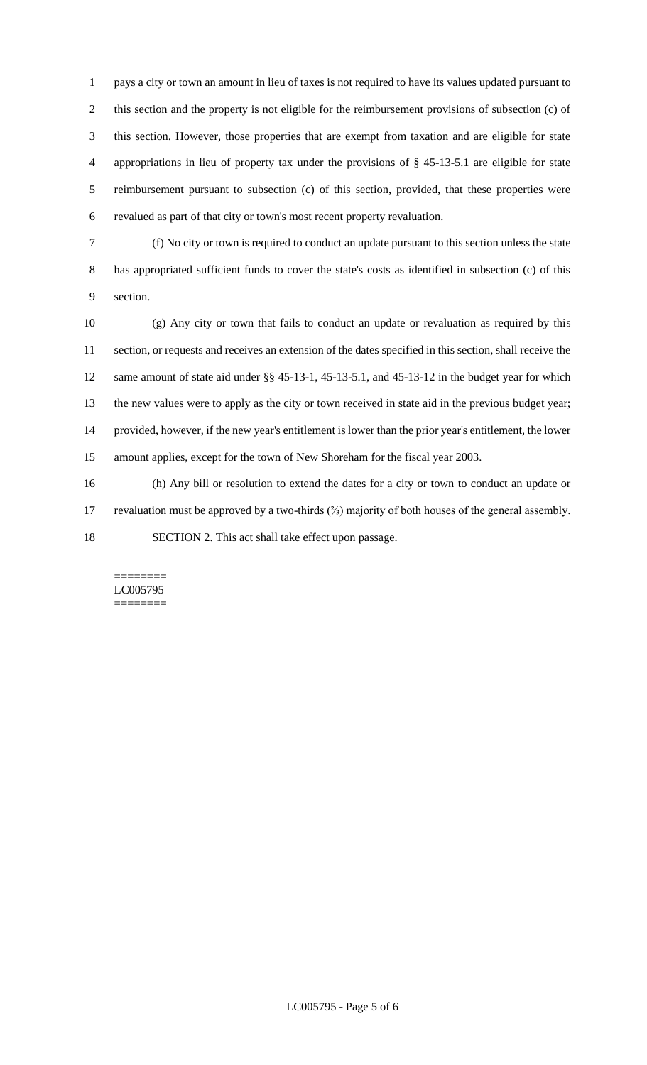pays a city or town an amount in lieu of taxes is not required to have its values updated pursuant to this section and the property is not eligible for the reimbursement provisions of subsection (c) of this section. However, those properties that are exempt from taxation and are eligible for state appropriations in lieu of property tax under the provisions of § 45-13-5.1 are eligible for state reimbursement pursuant to subsection (c) of this section, provided, that these properties were revalued as part of that city or town's most recent property revaluation.

 (f) No city or town is required to conduct an update pursuant to this section unless the state has appropriated sufficient funds to cover the state's costs as identified in subsection (c) of this section.

 (g) Any city or town that fails to conduct an update or revaluation as required by this section, or requests and receives an extension of the dates specified in this section, shall receive the same amount of state aid under §§ 45-13-1, 45-13-5.1, and 45-13-12 in the budget year for which the new values were to apply as the city or town received in state aid in the previous budget year; provided, however, if the new year's entitlement is lower than the prior year's entitlement, the lower amount applies, except for the town of New Shoreham for the fiscal year 2003.

 (h) Any bill or resolution to extend the dates for a city or town to conduct an update or revaluation must be approved by a two-thirds (⅔) majority of both houses of the general assembly. SECTION 2. This act shall take effect upon passage.

#### ======== LC005795 ========